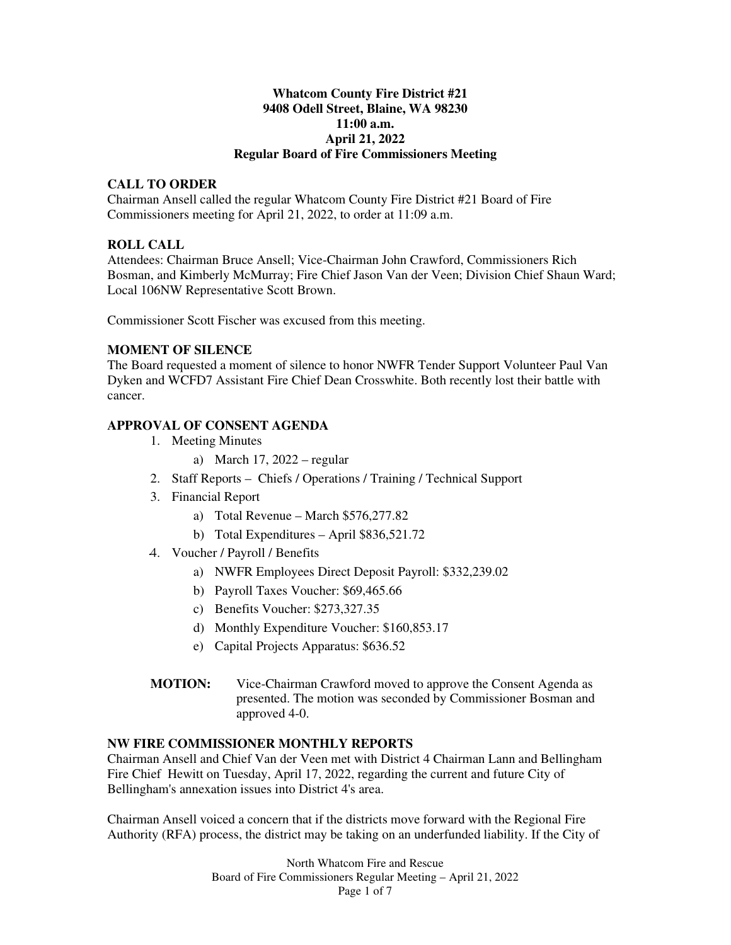## **Whatcom County Fire District #21 9408 Odell Street, Blaine, WA 98230 11:00 a.m. April 21, 2022 Regular Board of Fire Commissioners Meeting**

## **CALL TO ORDER**

Chairman Ansell called the regular Whatcom County Fire District #21 Board of Fire Commissioners meeting for April 21, 2022, to order at 11:09 a.m.

# **ROLL CALL**

Attendees: Chairman Bruce Ansell; Vice-Chairman John Crawford, Commissioners Rich Bosman, and Kimberly McMurray; Fire Chief Jason Van der Veen; Division Chief Shaun Ward; Local 106NW Representative Scott Brown.

Commissioner Scott Fischer was excused from this meeting.

# **MOMENT OF SILENCE**

The Board requested a moment of silence to honor NWFR Tender Support Volunteer Paul Van Dyken and WCFD7 Assistant Fire Chief Dean Crosswhite. Both recently lost their battle with cancer.

# **APPROVAL OF CONSENT AGENDA**

- 1. Meeting Minutes
	- a) March 17, 2022 regular
- 2. Staff Reports Chiefs / Operations / Training / Technical Support
- 3. Financial Report
	- a) Total Revenue March \$576,277.82
	- b) Total Expenditures April \$836,521.72
- 4. Voucher / Payroll / Benefits
	- a) NWFR Employees Direct Deposit Payroll: \$332,239.02
	- b) Payroll Taxes Voucher: \$69,465.66
	- c) Benefits Voucher: \$273,327.35
	- d) Monthly Expenditure Voucher: \$160,853.17
	- e) Capital Projects Apparatus: \$636.52
- **MOTION:** Vice-Chairman Crawford moved to approve the Consent Agenda as presented. The motion was seconded by Commissioner Bosman and approved 4-0.

## **NW FIRE COMMISSIONER MONTHLY REPORTS**

Chairman Ansell and Chief Van der Veen met with District 4 Chairman Lann and Bellingham Fire Chief Hewitt on Tuesday, April 17, 2022, regarding the current and future City of Bellingham's annexation issues into District 4's area.

Chairman Ansell voiced a concern that if the districts move forward with the Regional Fire Authority (RFA) process, the district may be taking on an underfunded liability. If the City of

> North Whatcom Fire and Rescue Board of Fire Commissioners Regular Meeting – April 21, 2022 Page 1 of 7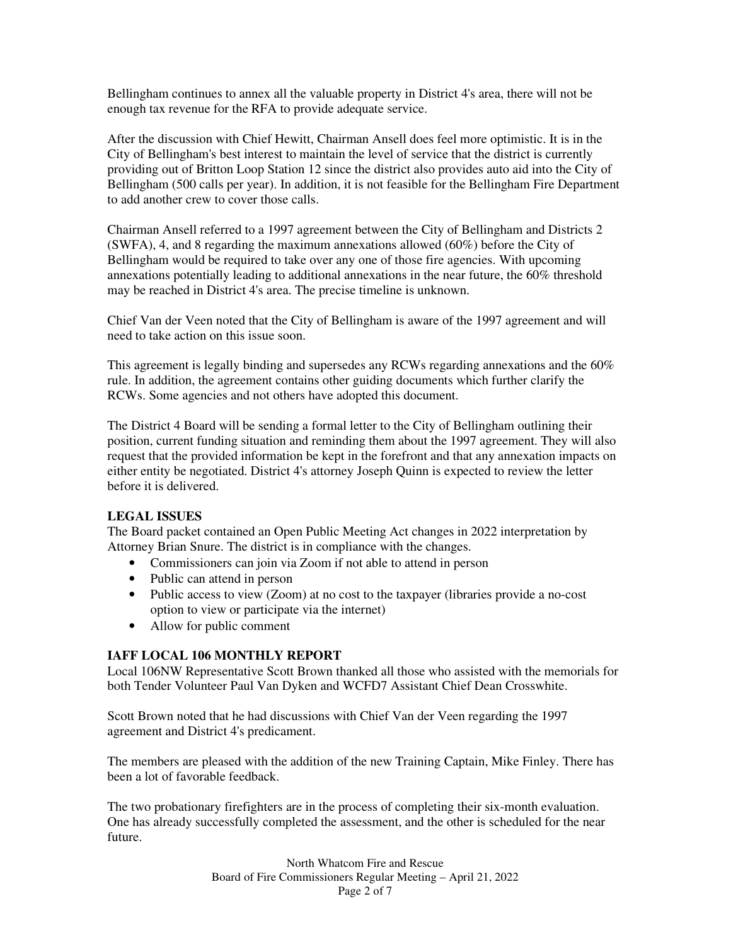Bellingham continues to annex all the valuable property in District 4's area, there will not be enough tax revenue for the RFA to provide adequate service.

After the discussion with Chief Hewitt, Chairman Ansell does feel more optimistic. It is in the City of Bellingham's best interest to maintain the level of service that the district is currently providing out of Britton Loop Station 12 since the district also provides auto aid into the City of Bellingham (500 calls per year). In addition, it is not feasible for the Bellingham Fire Department to add another crew to cover those calls.

Chairman Ansell referred to a 1997 agreement between the City of Bellingham and Districts 2 (SWFA), 4, and 8 regarding the maximum annexations allowed (60%) before the City of Bellingham would be required to take over any one of those fire agencies. With upcoming annexations potentially leading to additional annexations in the near future, the 60% threshold may be reached in District 4's area. The precise timeline is unknown.

Chief Van der Veen noted that the City of Bellingham is aware of the 1997 agreement and will need to take action on this issue soon.

This agreement is legally binding and supersedes any RCWs regarding annexations and the 60% rule. In addition, the agreement contains other guiding documents which further clarify the RCWs. Some agencies and not others have adopted this document.

The District 4 Board will be sending a formal letter to the City of Bellingham outlining their position, current funding situation and reminding them about the 1997 agreement. They will also request that the provided information be kept in the forefront and that any annexation impacts on either entity be negotiated. District 4's attorney Joseph Quinn is expected to review the letter before it is delivered.

## **LEGAL ISSUES**

The Board packet contained an Open Public Meeting Act changes in 2022 interpretation by Attorney Brian Snure. The district is in compliance with the changes.

- Commissioners can join via Zoom if not able to attend in person
- Public can attend in person
- Public access to view (Zoom) at no cost to the taxpayer (libraries provide a no-cost option to view or participate via the internet)
- Allow for public comment

## **IAFF LOCAL 106 MONTHLY REPORT**

Local 106NW Representative Scott Brown thanked all those who assisted with the memorials for both Tender Volunteer Paul Van Dyken and WCFD7 Assistant Chief Dean Crosswhite.

Scott Brown noted that he had discussions with Chief Van der Veen regarding the 1997 agreement and District 4's predicament.

The members are pleased with the addition of the new Training Captain, Mike Finley. There has been a lot of favorable feedback.

The two probationary firefighters are in the process of completing their six-month evaluation. One has already successfully completed the assessment, and the other is scheduled for the near future.

> North Whatcom Fire and Rescue Board of Fire Commissioners Regular Meeting – April 21, 2022 Page 2 of 7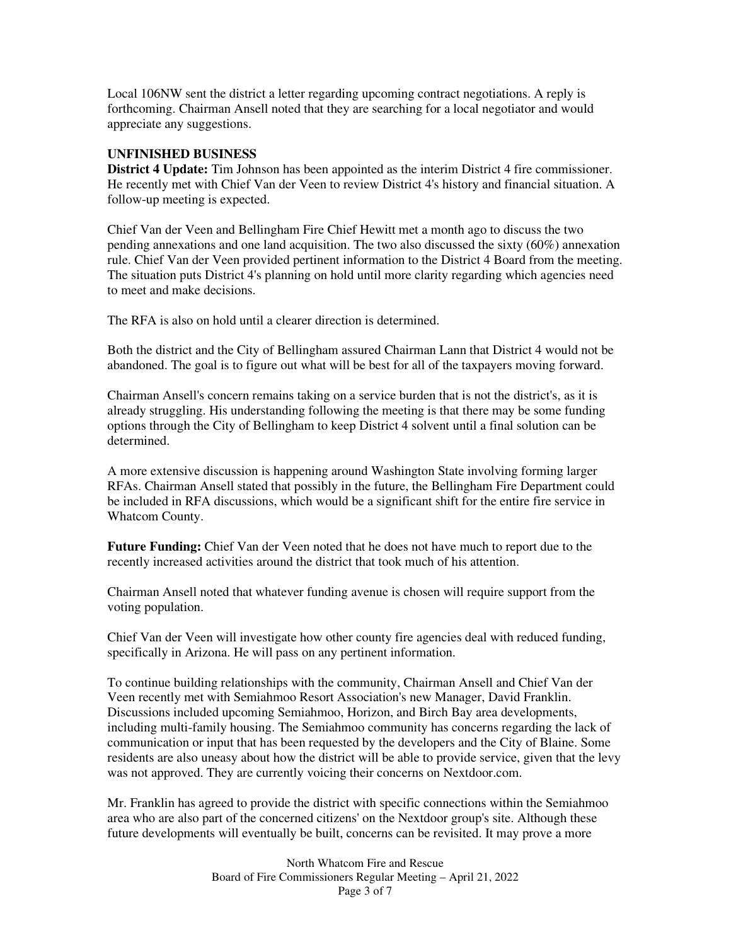Local 106NW sent the district a letter regarding upcoming contract negotiations. A reply is forthcoming. Chairman Ansell noted that they are searching for a local negotiator and would appreciate any suggestions.

### **UNFINISHED BUSINESS**

**District 4 Update:** Tim Johnson has been appointed as the interim District 4 fire commissioner. He recently met with Chief Van der Veen to review District 4's history and financial situation. A follow-up meeting is expected.

Chief Van der Veen and Bellingham Fire Chief Hewitt met a month ago to discuss the two pending annexations and one land acquisition. The two also discussed the sixty (60%) annexation rule. Chief Van der Veen provided pertinent information to the District 4 Board from the meeting. The situation puts District 4's planning on hold until more clarity regarding which agencies need to meet and make decisions.

The RFA is also on hold until a clearer direction is determined.

Both the district and the City of Bellingham assured Chairman Lann that District 4 would not be abandoned. The goal is to figure out what will be best for all of the taxpayers moving forward.

Chairman Ansell's concern remains taking on a service burden that is not the district's, as it is already struggling. His understanding following the meeting is that there may be some funding options through the City of Bellingham to keep District 4 solvent until a final solution can be determined.

A more extensive discussion is happening around Washington State involving forming larger RFAs. Chairman Ansell stated that possibly in the future, the Bellingham Fire Department could be included in RFA discussions, which would be a significant shift for the entire fire service in Whatcom County.

**Future Funding:** Chief Van der Veen noted that he does not have much to report due to the recently increased activities around the district that took much of his attention.

Chairman Ansell noted that whatever funding avenue is chosen will require support from the voting population.

Chief Van der Veen will investigate how other county fire agencies deal with reduced funding, specifically in Arizona. He will pass on any pertinent information.

To continue building relationships with the community, Chairman Ansell and Chief Van der Veen recently met with Semiahmoo Resort Association's new Manager, David Franklin. Discussions included upcoming Semiahmoo, Horizon, and Birch Bay area developments, including multi-family housing. The Semiahmoo community has concerns regarding the lack of communication or input that has been requested by the developers and the City of Blaine. Some residents are also uneasy about how the district will be able to provide service, given that the levy was not approved. They are currently voicing their concerns on Nextdoor.com.

Mr. Franklin has agreed to provide the district with specific connections within the Semiahmoo area who are also part of the concerned citizens' on the Nextdoor group's site. Although these future developments will eventually be built, concerns can be revisited. It may prove a more

> North Whatcom Fire and Rescue Board of Fire Commissioners Regular Meeting – April 21, 2022 Page 3 of 7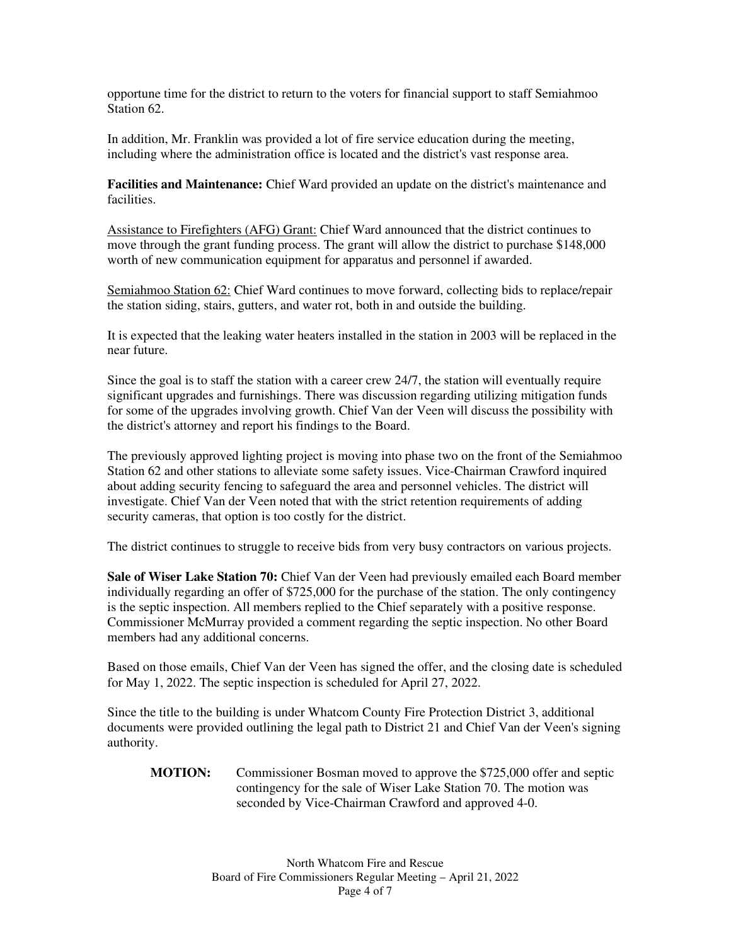opportune time for the district to return to the voters for financial support to staff Semiahmoo Station 62

In addition, Mr. Franklin was provided a lot of fire service education during the meeting, including where the administration office is located and the district's vast response area.

**Facilities and Maintenance:** Chief Ward provided an update on the district's maintenance and facilities.

Assistance to Firefighters (AFG) Grant: Chief Ward announced that the district continues to move through the grant funding process. The grant will allow the district to purchase \$148,000 worth of new communication equipment for apparatus and personnel if awarded.

Semiahmoo Station 62: Chief Ward continues to move forward, collecting bids to replace/repair the station siding, stairs, gutters, and water rot, both in and outside the building.

It is expected that the leaking water heaters installed in the station in 2003 will be replaced in the near future.

Since the goal is to staff the station with a career crew 24/7, the station will eventually require significant upgrades and furnishings. There was discussion regarding utilizing mitigation funds for some of the upgrades involving growth. Chief Van der Veen will discuss the possibility with the district's attorney and report his findings to the Board.

The previously approved lighting project is moving into phase two on the front of the Semiahmoo Station 62 and other stations to alleviate some safety issues. Vice-Chairman Crawford inquired about adding security fencing to safeguard the area and personnel vehicles. The district will investigate. Chief Van der Veen noted that with the strict retention requirements of adding security cameras, that option is too costly for the district.

The district continues to struggle to receive bids from very busy contractors on various projects.

**Sale of Wiser Lake Station 70:** Chief Van der Veen had previously emailed each Board member individually regarding an offer of \$725,000 for the purchase of the station. The only contingency is the septic inspection. All members replied to the Chief separately with a positive response. Commissioner McMurray provided a comment regarding the septic inspection. No other Board members had any additional concerns.

Based on those emails, Chief Van der Veen has signed the offer, and the closing date is scheduled for May 1, 2022. The septic inspection is scheduled for April 27, 2022.

Since the title to the building is under Whatcom County Fire Protection District 3, additional documents were provided outlining the legal path to District 21 and Chief Van der Veen's signing authority.

**MOTION:** Commissioner Bosman moved to approve the \$725,000 offer and septic contingency for the sale of Wiser Lake Station 70. The motion was seconded by Vice-Chairman Crawford and approved 4-0.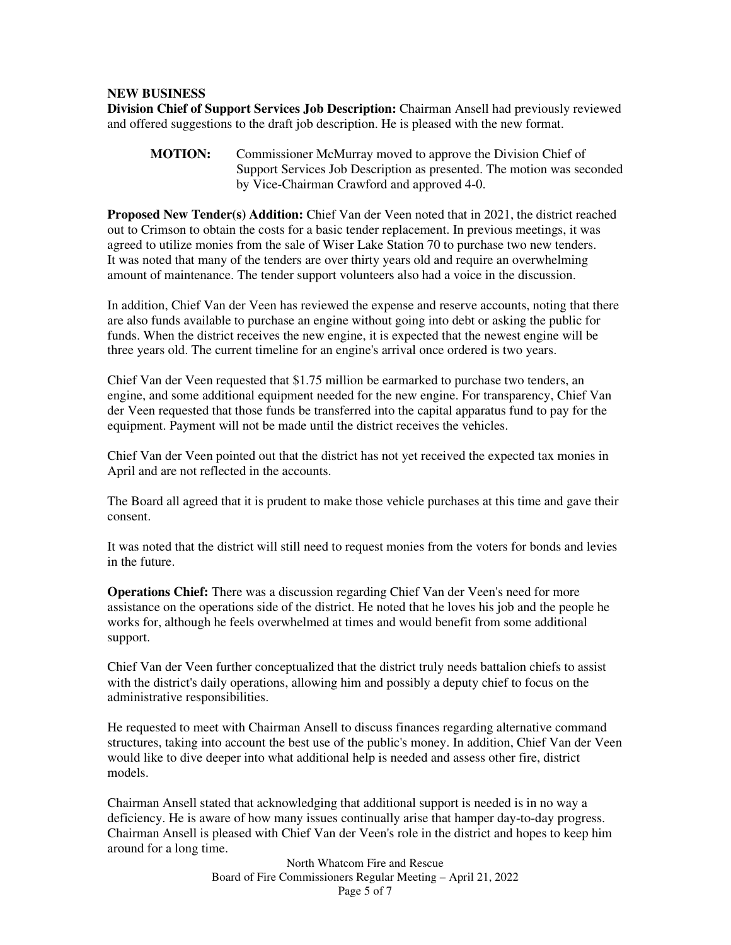#### **NEW BUSINESS**

**Division Chief of Support Services Job Description:** Chairman Ansell had previously reviewed and offered suggestions to the draft job description. He is pleased with the new format.

**MOTION:** Commissioner McMurray moved to approve the Division Chief of Support Services Job Description as presented. The motion was seconded by Vice-Chairman Crawford and approved 4-0.

**Proposed New Tender(s) Addition:** Chief Van der Veen noted that in 2021, the district reached out to Crimson to obtain the costs for a basic tender replacement. In previous meetings, it was agreed to utilize monies from the sale of Wiser Lake Station 70 to purchase two new tenders. It was noted that many of the tenders are over thirty years old and require an overwhelming amount of maintenance. The tender support volunteers also had a voice in the discussion.

In addition, Chief Van der Veen has reviewed the expense and reserve accounts, noting that there are also funds available to purchase an engine without going into debt or asking the public for funds. When the district receives the new engine, it is expected that the newest engine will be three years old. The current timeline for an engine's arrival once ordered is two years.

Chief Van der Veen requested that \$1.75 million be earmarked to purchase two tenders, an engine, and some additional equipment needed for the new engine. For transparency, Chief Van der Veen requested that those funds be transferred into the capital apparatus fund to pay for the equipment. Payment will not be made until the district receives the vehicles.

Chief Van der Veen pointed out that the district has not yet received the expected tax monies in April and are not reflected in the accounts.

The Board all agreed that it is prudent to make those vehicle purchases at this time and gave their consent.

It was noted that the district will still need to request monies from the voters for bonds and levies in the future.

**Operations Chief:** There was a discussion regarding Chief Van der Veen's need for more assistance on the operations side of the district. He noted that he loves his job and the people he works for, although he feels overwhelmed at times and would benefit from some additional support.

Chief Van der Veen further conceptualized that the district truly needs battalion chiefs to assist with the district's daily operations, allowing him and possibly a deputy chief to focus on the administrative responsibilities.

He requested to meet with Chairman Ansell to discuss finances regarding alternative command structures, taking into account the best use of the public's money. In addition, Chief Van der Veen would like to dive deeper into what additional help is needed and assess other fire, district models.

Chairman Ansell stated that acknowledging that additional support is needed is in no way a deficiency. He is aware of how many issues continually arise that hamper day-to-day progress. Chairman Ansell is pleased with Chief Van der Veen's role in the district and hopes to keep him around for a long time.

> North Whatcom Fire and Rescue Board of Fire Commissioners Regular Meeting – April 21, 2022 Page 5 of 7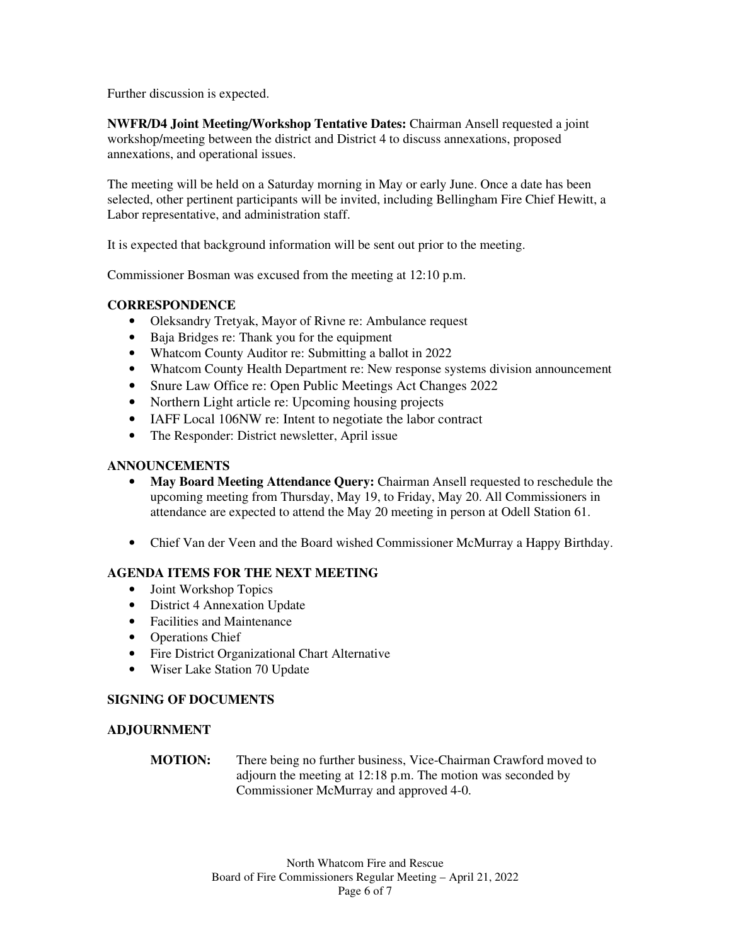Further discussion is expected.

**NWFR/D4 Joint Meeting/Workshop Tentative Dates:** Chairman Ansell requested a joint workshop/meeting between the district and District 4 to discuss annexations, proposed annexations, and operational issues.

The meeting will be held on a Saturday morning in May or early June. Once a date has been selected, other pertinent participants will be invited, including Bellingham Fire Chief Hewitt, a Labor representative, and administration staff.

It is expected that background information will be sent out prior to the meeting.

Commissioner Bosman was excused from the meeting at 12:10 p.m.

## **CORRESPONDENCE**

- Oleksandry Tretyak, Mayor of Rivne re: Ambulance request
- Baja Bridges re: Thank you for the equipment
- Whatcom County Auditor re: Submitting a ballot in 2022
- Whatcom County Health Department re: New response systems division announcement
- Snure Law Office re: Open Public Meetings Act Changes 2022
- Northern Light article re: Upcoming housing projects
- IAFF Local 106NW re: Intent to negotiate the labor contract
- The Responder: District newsletter, April issue

## **ANNOUNCEMENTS**

- **May Board Meeting Attendance Query:** Chairman Ansell requested to reschedule the upcoming meeting from Thursday, May 19, to Friday, May 20. All Commissioners in attendance are expected to attend the May 20 meeting in person at Odell Station 61.
- Chief Van der Veen and the Board wished Commissioner McMurray a Happy Birthday.

## **AGENDA ITEMS FOR THE NEXT MEETING**

- Joint Workshop Topics
- District 4 Annexation Update
- Facilities and Maintenance
- Operations Chief
- Fire District Organizational Chart Alternative
- Wiser Lake Station 70 Update

## **SIGNING OF DOCUMENTS**

## **ADJOURNMENT**

**MOTION:** There being no further business, Vice-Chairman Crawford moved to adjourn the meeting at 12:18 p.m. The motion was seconded by Commissioner McMurray and approved 4-0.